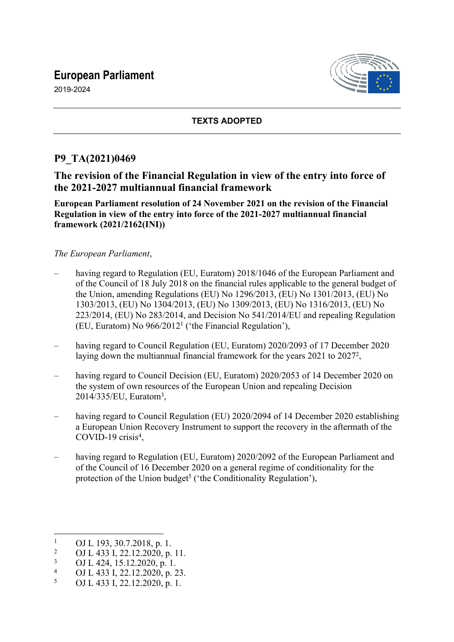# **European Parliament**

2019-2024



## **TEXTS ADOPTED**

## **P9\_TA(2021)0469**

## **The revision of the Financial Regulation in view of the entry into force of the 2021-2027 multiannual financial framework**

**European Parliament resolution of 24 November 2021 on the revision of the Financial Regulation in view of the entry into force of the 2021-2027 multiannual financial framework (2021/2162(INI))**

#### *The European Parliament*,

- having regard to Regulation (EU, Euratom) 2018/1046 of the European Parliament and of the Council of 18 July 2018 on the financial rules applicable to the general budget of the Union, amending Regulations (EU) No 1296/2013, (EU) No 1301/2013, (EU) No 1303/2013, (EU) No 1304/2013, (EU) No 1309/2013, (EU) No 1316/2013, (EU) No 223/2014, (EU) No 283/2014, and Decision No 541/2014/EU and repealing Regulation (EU, Euratom) No 966/2012<sup>1</sup> ('the Financial Regulation'),
- having regard to Council Regulation (EU, Euratom) 2020/2093 of 17 December 2020 laying down the multiannual financial framework for the years 2021 to 2027<sup>2</sup>,
- having regard to Council Decision (EU, Euratom) 2020/2053 of 14 December 2020 on the system of own resources of the European Union and repealing Decision 2014/335/EU, Euratom<sup>3</sup> ,
- having regard to Council Regulation (EU) 2020/2094 of 14 December 2020 establishing a European Union Recovery Instrument to support the recovery in the aftermath of the COVID-19 crisis<sup>4</sup>,
- having regard to Regulation (EU, Euratom) 2020/2092 of the European Parliament and of the Council of 16 December 2020 on a general regime of conditionality for the protection of the Union budget<sup>5</sup> ('the Conditionality Regulation'),

<sup>1</sup> OJ L 193, 30.7.2018, p. 1.

 $\overline{2}$ OJ L 433 I, 22.12.2020, p. 11.

<sup>3</sup> OJ L 424, 15.12.2020, p. 1.

<sup>4</sup> OJ L 433 I, 22.12.2020, p. 23.

<sup>5</sup> OJ L 433 I, 22.12.2020, p. 1.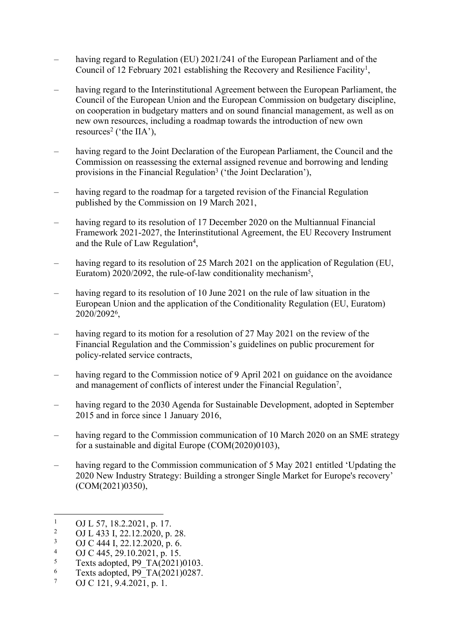- having regard to Regulation (EU) 2021/241 of the European Parliament and of the Council of 12 February 2021 establishing the Recovery and Resilience Facility<sup>1</sup>,
- having regard to the Interinstitutional Agreement between the European Parliament, the Council of the European Union and the European Commission on budgetary discipline, on cooperation in budgetary matters and on sound financial management, as well as on new own resources, including a roadmap towards the introduction of new own resources<sup>2</sup> ('the IIA'),
- having regard to the Joint Declaration of the European Parliament, the Council and the Commission on reassessing the external assigned revenue and borrowing and lending provisions in the Financial Regulation<sup>3</sup> ('the Joint Declaration'),
- having regard to the roadmap for a targeted revision of the Financial Regulation published by the Commission on 19 March 2021,
- having regard to its resolution of 17 December 2020 on the Multiannual Financial Framework 2021-2027, the Interinstitutional Agreement, the EU Recovery Instrument and the Rule of Law Regulation<sup>4</sup>,
- having regard to its resolution of 25 March 2021 on the application of Regulation (EU, Euratom) 2020/2092, the rule-of-law conditionality mechanism<sup>5</sup>,
- having regard to its resolution of 10 June 2021 on the rule of law situation in the European Union and the application of the Conditionality Regulation (EU, Euratom) 2020/2092<sup>6</sup> ,
- having regard to its motion for a resolution of 27 May 2021 on the review of the Financial Regulation and the Commission's guidelines on public procurement for policy-related service contracts,
- having regard to the Commission notice of 9 April 2021 on guidance on the avoidance and management of conflicts of interest under the Financial Regulation<sup>7</sup>,
- having regard to the 2030 Agenda for Sustainable Development, adopted in September 2015 and in force since 1 January 2016,
- having regard to the Commission communication of 10 March 2020 on an SME strategy for a sustainable and digital Europe (COM(2020)0103),
- having regard to the Commission communication of 5 May 2021 entitled 'Updating the 2020 New Industry Strategy: Building a stronger Single Market for Europe's recovery' (COM(2021)0350),

- 3 OJ C 444 I, 22.12.2020, p. 6.
- 4 OJ C 445, 29.10.2021, p. 15.
- 5 Texts adopted, P9\_TA(2021)0103.
- 6 Texts adopted,  $P9T\overline{A(2021)}0287$ .
- 7 OJ C 121, 9.4.2021, p. 1.

<sup>1</sup> OJ L 57, 18.2.2021, p. 17.

 $2<sup>2</sup>$ OJ L 433 I, 22.12.2020, p. 28.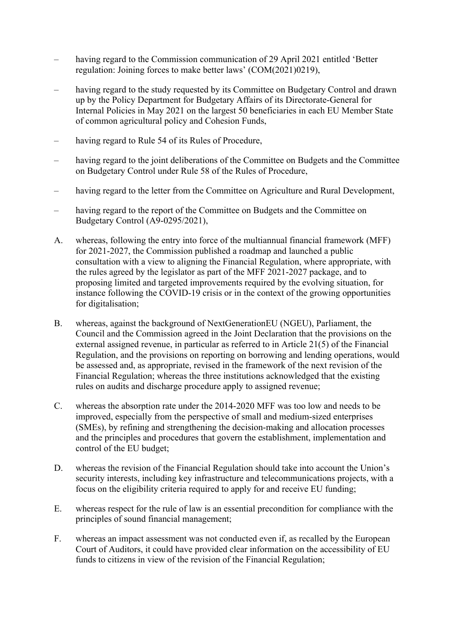- having regard to the Commission communication of 29 April 2021 entitled 'Better regulation: Joining forces to make better laws' (COM(2021)0219),
- having regard to the study requested by its Committee on Budgetary Control and drawn up by the Policy Department for Budgetary Affairs of its Directorate-General for Internal Policies in May 2021 on the largest 50 beneficiaries in each EU Member State of common agricultural policy and Cohesion Funds,
- having regard to Rule 54 of its Rules of Procedure,
- having regard to the joint deliberations of the Committee on Budgets and the Committee on Budgetary Control under Rule 58 of the Rules of Procedure,
- having regard to the letter from the Committee on Agriculture and Rural Development,
- having regard to the report of the Committee on Budgets and the Committee on Budgetary Control (A9-0295/2021),
- A. whereas, following the entry into force of the multiannual financial framework (MFF) for 2021-2027, the Commission published a roadmap and launched a public consultation with a view to aligning the Financial Regulation, where appropriate, with the rules agreed by the legislator as part of the MFF 2021-2027 package, and to proposing limited and targeted improvements required by the evolving situation, for instance following the COVID-19 crisis or in the context of the growing opportunities for digitalisation;
- B. whereas, against the background of NextGenerationEU (NGEU), Parliament, the Council and the Commission agreed in the Joint Declaration that the provisions on the external assigned revenue, in particular as referred to in Article 21(5) of the Financial Regulation, and the provisions on reporting on borrowing and lending operations, would be assessed and, as appropriate, revised in the framework of the next revision of the Financial Regulation; whereas the three institutions acknowledged that the existing rules on audits and discharge procedure apply to assigned revenue;
- C. whereas the absorption rate under the 2014-2020 MFF was too low and needs to be improved, especially from the perspective of small and medium-sized enterprises (SMEs), by refining and strengthening the decision-making and allocation processes and the principles and procedures that govern the establishment, implementation and control of the EU budget;
- D. whereas the revision of the Financial Regulation should take into account the Union's security interests, including key infrastructure and telecommunications projects, with a focus on the eligibility criteria required to apply for and receive EU funding;
- E. whereas respect for the rule of law is an essential precondition for compliance with the principles of sound financial management;
- F. whereas an impact assessment was not conducted even if, as recalled by the European Court of Auditors, it could have provided clear information on the accessibility of EU funds to citizens in view of the revision of the Financial Regulation;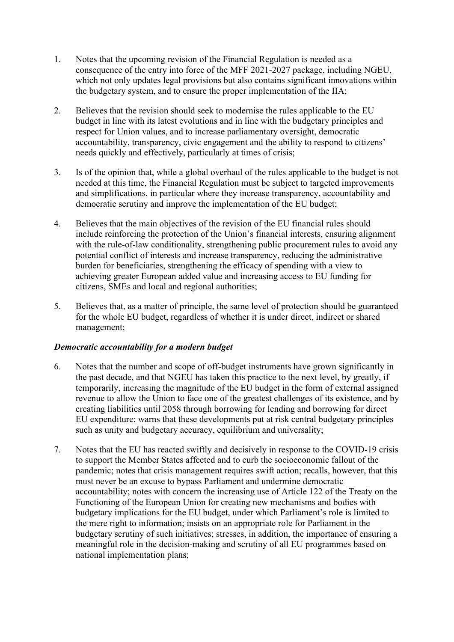- 1. Notes that the upcoming revision of the Financial Regulation is needed as a consequence of the entry into force of the MFF 2021-2027 package, including NGEU, which not only updates legal provisions but also contains significant innovations within the budgetary system, and to ensure the proper implementation of the IIA;
- 2. Believes that the revision should seek to modernise the rules applicable to the EU budget in line with its latest evolutions and in line with the budgetary principles and respect for Union values, and to increase parliamentary oversight, democratic accountability, transparency, civic engagement and the ability to respond to citizens' needs quickly and effectively, particularly at times of crisis;
- 3. Is of the opinion that, while a global overhaul of the rules applicable to the budget is not needed at this time, the Financial Regulation must be subject to targeted improvements and simplifications, in particular where they increase transparency, accountability and democratic scrutiny and improve the implementation of the EU budget;
- 4. Believes that the main objectives of the revision of the EU financial rules should include reinforcing the protection of the Union's financial interests, ensuring alignment with the rule-of-law conditionality, strengthening public procurement rules to avoid any potential conflict of interests and increase transparency, reducing the administrative burden for beneficiaries, strengthening the efficacy of spending with a view to achieving greater European added value and increasing access to EU funding for citizens, SMEs and local and regional authorities;
- 5. Believes that, as a matter of principle, the same level of protection should be guaranteed for the whole EU budget, regardless of whether it is under direct, indirect or shared management;

#### *Democratic accountability for a modern budget*

- 6. Notes that the number and scope of off-budget instruments have grown significantly in the past decade, and that NGEU has taken this practice to the next level, by greatly, if temporarily, increasing the magnitude of the EU budget in the form of external assigned revenue to allow the Union to face one of the greatest challenges of its existence, and by creating liabilities until 2058 through borrowing for lending and borrowing for direct EU expenditure; warns that these developments put at risk central budgetary principles such as unity and budgetary accuracy, equilibrium and universality;
- 7. Notes that the EU has reacted swiftly and decisively in response to the COVID-19 crisis to support the Member States affected and to curb the socioeconomic fallout of the pandemic; notes that crisis management requires swift action; recalls, however, that this must never be an excuse to bypass Parliament and undermine democratic accountability; notes with concern the increasing use of Article 122 of the Treaty on the Functioning of the European Union for creating new mechanisms and bodies with budgetary implications for the EU budget, under which Parliament's role is limited to the mere right to information; insists on an appropriate role for Parliament in the budgetary scrutiny of such initiatives; stresses, in addition, the importance of ensuring a meaningful role in the decision-making and scrutiny of all EU programmes based on national implementation plans;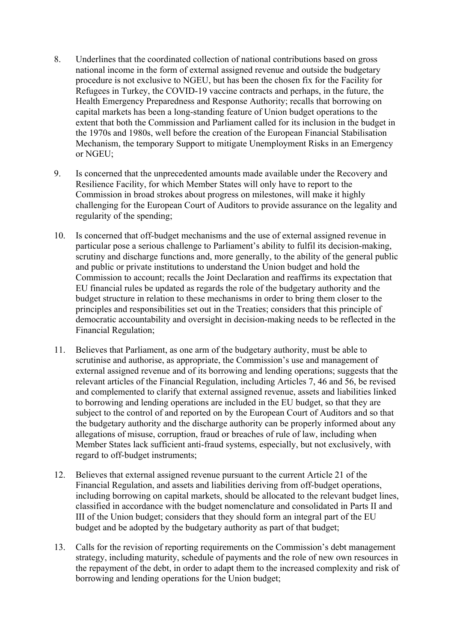- 8. Underlines that the coordinated collection of national contributions based on gross national income in the form of external assigned revenue and outside the budgetary procedure is not exclusive to NGEU, but has been the chosen fix for the Facility for Refugees in Turkey, the COVID-19 vaccine contracts and perhaps, in the future, the Health Emergency Preparedness and Response Authority; recalls that borrowing on capital markets has been a long-standing feature of Union budget operations to the extent that both the Commission and Parliament called for its inclusion in the budget in the 1970s and 1980s, well before the creation of the European Financial Stabilisation Mechanism, the temporary Support to mitigate Unemployment Risks in an Emergency or NGEU;
- 9. Is concerned that the unprecedented amounts made available under the Recovery and Resilience Facility, for which Member States will only have to report to the Commission in broad strokes about progress on milestones, will make it highly challenging for the European Court of Auditors to provide assurance on the legality and regularity of the spending;
- 10. Is concerned that off-budget mechanisms and the use of external assigned revenue in particular pose a serious challenge to Parliament's ability to fulfil its decision-making, scrutiny and discharge functions and, more generally, to the ability of the general public and public or private institutions to understand the Union budget and hold the Commission to account; recalls the Joint Declaration and reaffirms its expectation that EU financial rules be updated as regards the role of the budgetary authority and the budget structure in relation to these mechanisms in order to bring them closer to the principles and responsibilities set out in the Treaties; considers that this principle of democratic accountability and oversight in decision-making needs to be reflected in the Financial Regulation;
- 11. Believes that Parliament, as one arm of the budgetary authority, must be able to scrutinise and authorise, as appropriate, the Commission's use and management of external assigned revenue and of its borrowing and lending operations; suggests that the relevant articles of the Financial Regulation, including Articles 7, 46 and 56, be revised and complemented to clarify that external assigned revenue, assets and liabilities linked to borrowing and lending operations are included in the EU budget, so that they are subject to the control of and reported on by the European Court of Auditors and so that the budgetary authority and the discharge authority can be properly informed about any allegations of misuse, corruption, fraud or breaches of rule of law, including when Member States lack sufficient anti-fraud systems, especially, but not exclusively, with regard to off-budget instruments;
- 12. Believes that external assigned revenue pursuant to the current Article 21 of the Financial Regulation, and assets and liabilities deriving from off-budget operations, including borrowing on capital markets, should be allocated to the relevant budget lines, classified in accordance with the budget nomenclature and consolidated in Parts II and III of the Union budget; considers that they should form an integral part of the EU budget and be adopted by the budgetary authority as part of that budget;
- 13. Calls for the revision of reporting requirements on the Commission's debt management strategy, including maturity, schedule of payments and the role of new own resources in the repayment of the debt, in order to adapt them to the increased complexity and risk of borrowing and lending operations for the Union budget;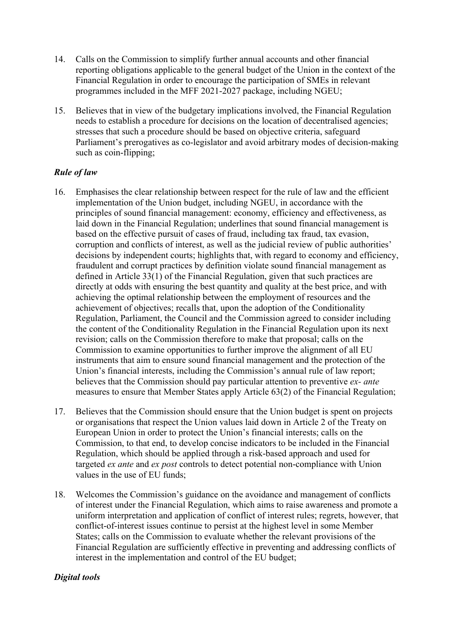- 14. Calls on the Commission to simplify further annual accounts and other financial reporting obligations applicable to the general budget of the Union in the context of the Financial Regulation in order to encourage the participation of SMEs in relevant programmes included in the MFF 2021-2027 package, including NGEU;
- 15. Believes that in view of the budgetary implications involved, the Financial Regulation needs to establish a procedure for decisions on the location of decentralised agencies; stresses that such a procedure should be based on objective criteria, safeguard Parliament's prerogatives as co-legislator and avoid arbitrary modes of decision-making such as coin-flipping;

### *Rule of law*

- 16. Emphasises the clear relationship between respect for the rule of law and the efficient implementation of the Union budget, including NGEU, in accordance with the principles of sound financial management: economy, efficiency and effectiveness, as laid down in the Financial Regulation; underlines that sound financial management is based on the effective pursuit of cases of fraud, including tax fraud, tax evasion, corruption and conflicts of interest, as well as the judicial review of public authorities' decisions by independent courts; highlights that, with regard to economy and efficiency, fraudulent and corrupt practices by definition violate sound financial management as defined in Article 33(1) of the Financial Regulation, given that such practices are directly at odds with ensuring the best quantity and quality at the best price, and with achieving the optimal relationship between the employment of resources and the achievement of objectives; recalls that, upon the adoption of the Conditionality Regulation, Parliament, the Council and the Commission agreed to consider including the content of the Conditionality Regulation in the Financial Regulation upon its next revision; calls on the Commission therefore to make that proposal; calls on the Commission to examine opportunities to further improve the alignment of all EU instruments that aim to ensure sound financial management and the protection of the Union's financial interests, including the Commission's annual rule of law report; believes that the Commission should pay particular attention to preventive *ex- ante* measures to ensure that Member States apply Article 63(2) of the Financial Regulation;
- 17. Believes that the Commission should ensure that the Union budget is spent on projects or organisations that respect the Union values laid down in Article 2 of the Treaty on European Union in order to protect the Union's financial interests; calls on the Commission, to that end, to develop concise indicators to be included in the Financial Regulation, which should be applied through a risk-based approach and used for targeted *ex ante* and *ex post* controls to detect potential non-compliance with Union values in the use of EU funds;
- 18. Welcomes the Commission's guidance on the avoidance and management of conflicts of interest under the Financial Regulation, which aims to raise awareness and promote a uniform interpretation and application of conflict of interest rules; regrets, however, that conflict-of-interest issues continue to persist at the highest level in some Member States; calls on the Commission to evaluate whether the relevant provisions of the Financial Regulation are sufficiently effective in preventing and addressing conflicts of interest in the implementation and control of the EU budget;

#### *Digital tools*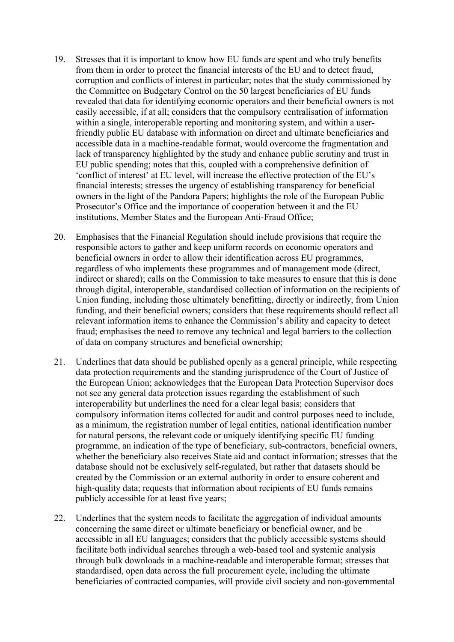- 19. Stresses that it is important to know how EU funds are spent and who truly benefits from them in order to protect the financial interests of the EU and to detect fraud, corruption and conflicts of interest in particular; notes that the study commissioned by the Committee on Budgetary Control on the 50 largest beneficiaries of EU funds revealed that data for identifying economic operators and their beneficial owners is not easily accessible, if at all; considers that the compulsory centralisation of information within a single, interoperable reporting and monitoring system, and within a userfriendly public EU database with information on direct and ultimate beneficiaries and accessible data in a machine-readable format, would overcome the fragmentation and lack of transparency highlighted by the study and enhance public scrutiny and trust in EU public spending; notes that this, coupled with a comprehensive definition of 'conflict of interest' at EU level, will increase the effective protection of the EU's financial interests; stresses the urgency of establishing transparency for beneficial owners in the light of the Pandora Papers; highlights the role of the European Public Prosecutor's Office and the importance of cooperation between it and the EU institutions, Member States and the European Anti-Fraud Office;
- 20. Emphasises that the Financial Regulation should include provisions that require the responsible actors to gather and keep uniform records on economic operators and beneficial owners in order to allow their identification across EU programmes, regardless of who implements these programmes and of management mode (direct, indirect or shared); calls on the Commission to take measures to ensure that this is done through digital, interoperable, standardised collection of information on the recipients of Union funding, including those ultimately benefitting, directly or indirectly, from Union funding, and their beneficial owners; considers that these requirements should reflect all relevant information items to enhance the Commission's ability and capacity to detect fraud; emphasises the need to remove any technical and legal barriers to the collection of data on company structures and beneficial ownership;
- 21. Underlines that data should be published openly as a general principle, while respecting data protection requirements and the standing jurisprudence of the Court of Justice of the European Union; acknowledges that the European Data Protection Supervisor does not see any general data protection issues regarding the establishment of such interoperability but underlines the need for a clear legal basis; considers that compulsory information items collected for audit and control purposes need to include, as a minimum, the registration number of legal entities, national identification number for natural persons, the relevant code or uniquely identifying specific EU funding programme, an indication of the type of beneficiary, sub-contractors, beneficial owners, whether the beneficiary also receives State aid and contact information; stresses that the database should not be exclusively self-regulated, but rather that datasets should be created by the Commission or an external authority in order to ensure coherent and high-quality data; requests that information about recipients of EU funds remains publicly accessible for at least five years;
- 22. Underlines that the system needs to facilitate the aggregation of individual amounts concerning the same direct or ultimate beneficiary or beneficial owner, and be accessible in all EU languages; considers that the publicly accessible systems should facilitate both individual searches through a web-based tool and systemic analysis through bulk downloads in a machine-readable and interoperable format; stresses that standardised, open data across the full procurement cycle, including the ultimate beneficiaries of contracted companies, will provide civil society and non-governmental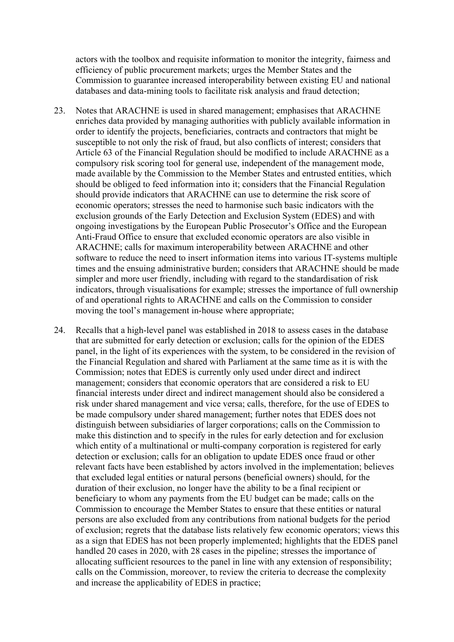actors with the toolbox and requisite information to monitor the integrity, fairness and efficiency of public procurement markets; urges the Member States and the Commission to guarantee increased interoperability between existing EU and national databases and data-mining tools to facilitate risk analysis and fraud detection;

- 23. Notes that ARACHNE is used in shared management; emphasises that ARACHNE enriches data provided by managing authorities with publicly available information in order to identify the projects, beneficiaries, contracts and contractors that might be susceptible to not only the risk of fraud, but also conflicts of interest; considers that Article 63 of the Financial Regulation should be modified to include ARACHNE as a compulsory risk scoring tool for general use, independent of the management mode, made available by the Commission to the Member States and entrusted entities, which should be obliged to feed information into it; considers that the Financial Regulation should provide indicators that ARACHNE can use to determine the risk score of economic operators; stresses the need to harmonise such basic indicators with the exclusion grounds of the Early Detection and Exclusion System (EDES) and with ongoing investigations by the European Public Prosecutor's Office and the European Anti-Fraud Office to ensure that excluded economic operators are also visible in ARACHNE; calls for maximum interoperability between ARACHNE and other software to reduce the need to insert information items into various IT-systems multiple times and the ensuing administrative burden; considers that ARACHNE should be made simpler and more user friendly, including with regard to the standardisation of risk indicators, through visualisations for example; stresses the importance of full ownership of and operational rights to ARACHNE and calls on the Commission to consider moving the tool's management in-house where appropriate;
- 24. Recalls that a high-level panel was established in 2018 to assess cases in the database that are submitted for early detection or exclusion; calls for the opinion of the EDES panel, in the light of its experiences with the system, to be considered in the revision of the Financial Regulation and shared with Parliament at the same time as it is with the Commission; notes that EDES is currently only used under direct and indirect management; considers that economic operators that are considered a risk to EU financial interests under direct and indirect management should also be considered a risk under shared management and vice versa; calls, therefore, for the use of EDES to be made compulsory under shared management; further notes that EDES does not distinguish between subsidiaries of larger corporations; calls on the Commission to make this distinction and to specify in the rules for early detection and for exclusion which entity of a multinational or multi-company corporation is registered for early detection or exclusion; calls for an obligation to update EDES once fraud or other relevant facts have been established by actors involved in the implementation; believes that excluded legal entities or natural persons (beneficial owners) should, for the duration of their exclusion, no longer have the ability to be a final recipient or beneficiary to whom any payments from the EU budget can be made; calls on the Commission to encourage the Member States to ensure that these entities or natural persons are also excluded from any contributions from national budgets for the period of exclusion; regrets that the database lists relatively few economic operators; views this as a sign that EDES has not been properly implemented; highlights that the EDES panel handled 20 cases in 2020, with 28 cases in the pipeline; stresses the importance of allocating sufficient resources to the panel in line with any extension of responsibility; calls on the Commission, moreover, to review the criteria to decrease the complexity and increase the applicability of EDES in practice;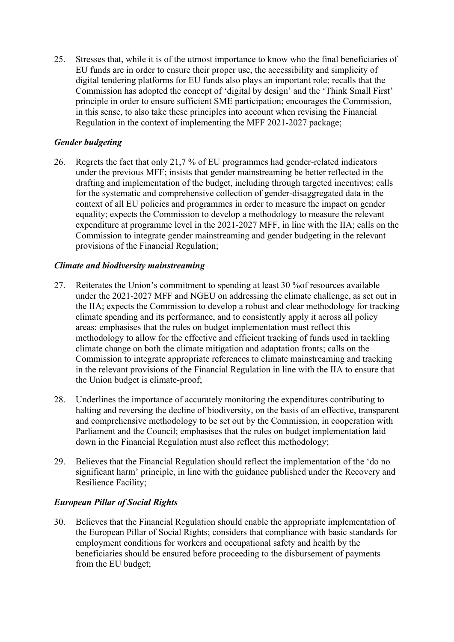25. Stresses that, while it is of the utmost importance to know who the final beneficiaries of EU funds are in order to ensure their proper use, the accessibility and simplicity of digital tendering platforms for EU funds also plays an important role; recalls that the Commission has adopted the concept of 'digital by design' and the 'Think Small First' principle in order to ensure sufficient SME participation; encourages the Commission, in this sense, to also take these principles into account when revising the Financial Regulation in the context of implementing the MFF 2021-2027 package;

## *Gender budgeting*

26. Regrets the fact that only 21,7 % of EU programmes had gender-related indicators under the previous MFF; insists that gender mainstreaming be better reflected in the drafting and implementation of the budget, including through targeted incentives; calls for the systematic and comprehensive collection of gender-disaggregated data in the context of all EU policies and programmes in order to measure the impact on gender equality; expects the Commission to develop a methodology to measure the relevant expenditure at programme level in the 2021-2027 MFF, in line with the IIA; calls on the Commission to integrate gender mainstreaming and gender budgeting in the relevant provisions of the Financial Regulation;

#### *Climate and biodiversity mainstreaming*

- 27. Reiterates the Union's commitment to spending at least 30 %of resources available under the 2021-2027 MFF and NGEU on addressing the climate challenge, as set out in the IIA; expects the Commission to develop a robust and clear methodology for tracking climate spending and its performance, and to consistently apply it across all policy areas; emphasises that the rules on budget implementation must reflect this methodology to allow for the effective and efficient tracking of funds used in tackling climate change on both the climate mitigation and adaptation fronts; calls on the Commission to integrate appropriate references to climate mainstreaming and tracking in the relevant provisions of the Financial Regulation in line with the IIA to ensure that the Union budget is climate-proof;
- 28. Underlines the importance of accurately monitoring the expenditures contributing to halting and reversing the decline of biodiversity, on the basis of an effective, transparent and comprehensive methodology to be set out by the Commission, in cooperation with Parliament and the Council; emphasises that the rules on budget implementation laid down in the Financial Regulation must also reflect this methodology;
- 29. Believes that the Financial Regulation should reflect the implementation of the 'do no significant harm' principle, in line with the guidance published under the Recovery and Resilience Facility;

## *European Pillar of Social Rights*

30. Believes that the Financial Regulation should enable the appropriate implementation of the European Pillar of Social Rights; considers that compliance with basic standards for employment conditions for workers and occupational safety and health by the beneficiaries should be ensured before proceeding to the disbursement of payments from the EU budget;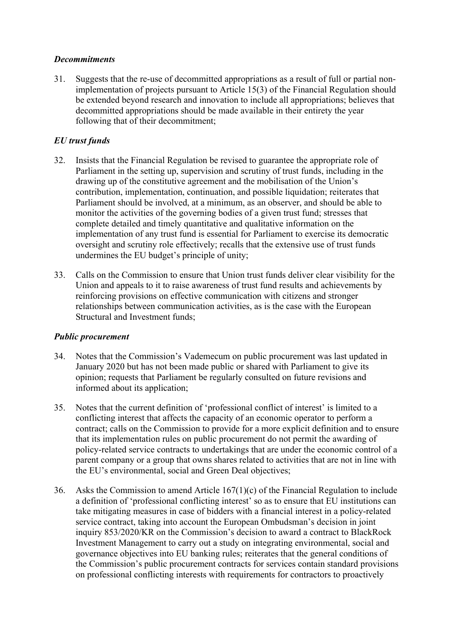#### *Decommitments*

31. Suggests that the re-use of decommitted appropriations as a result of full or partial nonimplementation of projects pursuant to Article 15(3) of the Financial Regulation should be extended beyond research and innovation to include all appropriations; believes that decommitted appropriations should be made available in their entirety the year following that of their decommitment;

## *EU trust funds*

- 32. Insists that the Financial Regulation be revised to guarantee the appropriate role of Parliament in the setting up, supervision and scrutiny of trust funds, including in the drawing up of the constitutive agreement and the mobilisation of the Union's contribution, implementation, continuation, and possible liquidation; reiterates that Parliament should be involved, at a minimum, as an observer, and should be able to monitor the activities of the governing bodies of a given trust fund; stresses that complete detailed and timely quantitative and qualitative information on the implementation of any trust fund is essential for Parliament to exercise its democratic oversight and scrutiny role effectively; recalls that the extensive use of trust funds undermines the EU budget's principle of unity;
- 33. Calls on the Commission to ensure that Union trust funds deliver clear visibility for the Union and appeals to it to raise awareness of trust fund results and achievements by reinforcing provisions on effective communication with citizens and stronger relationships between communication activities, as is the case with the European Structural and Investment funds;

#### *Public procurement*

- 34. Notes that the Commission's Vademecum on public procurement was last updated in January 2020 but has not been made public or shared with Parliament to give its opinion; requests that Parliament be regularly consulted on future revisions and informed about its application;
- 35. Notes that the current definition of 'professional conflict of interest' is limited to a conflicting interest that affects the capacity of an economic operator to perform a contract; calls on the Commission to provide for a more explicit definition and to ensure that its implementation rules on public procurement do not permit the awarding of policy-related service contracts to undertakings that are under the economic control of a parent company or a group that owns shares related to activities that are not in line with the EU's environmental, social and Green Deal objectives;
- 36. Asks the Commission to amend Article 167(1)(c) of the Financial Regulation to include a definition of 'professional conflicting interest' so as to ensure that EU institutions can take mitigating measures in case of bidders with a financial interest in a policy-related service contract, taking into account the European Ombudsman's decision in joint inquiry 853/2020/KR on the Commission's decision to award a contract to BlackRock Investment Management to carry out a study on integrating environmental, social and governance objectives into EU banking rules; reiterates that the general conditions of the Commission's public procurement contracts for services contain standard provisions on professional conflicting interests with requirements for contractors to proactively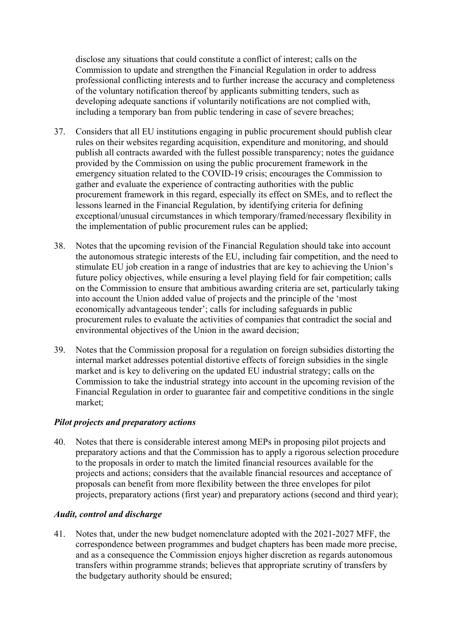disclose any situations that could constitute a conflict of interest; calls on the Commission to update and strengthen the Financial Regulation in order to address professional conflicting interests and to further increase the accuracy and completeness of the voluntary notification thereof by applicants submitting tenders, such as developing adequate sanctions if voluntarily notifications are not complied with, including a temporary ban from public tendering in case of severe breaches;

- 37. Considers that all EU institutions engaging in public procurement should publish clear rules on their websites regarding acquisition, expenditure and monitoring, and should publish all contracts awarded with the fullest possible transparency; notes the guidance provided by the Commission on using the public procurement framework in the emergency situation related to the COVID-19 crisis; encourages the Commission to gather and evaluate the experience of contracting authorities with the public procurement framework in this regard, especially its effect on SMEs, and to reflect the lessons learned in the Financial Regulation, by identifying criteria for defining exceptional/unusual circumstances in which temporary/framed/necessary flexibility in the implementation of public procurement rules can be applied;
- 38. Notes that the upcoming revision of the Financial Regulation should take into account the autonomous strategic interests of the EU, including fair competition, and the need to stimulate EU job creation in a range of industries that are key to achieving the Union's future policy objectives, while ensuring a level playing field for fair competition; calls on the Commission to ensure that ambitious awarding criteria are set, particularly taking into account the Union added value of projects and the principle of the 'most economically advantageous tender'; calls for including safeguards in public procurement rules to evaluate the activities of companies that contradict the social and environmental objectives of the Union in the award decision;
- 39. Notes that the Commission proposal for a regulation on foreign subsidies distorting the internal market addresses potential distortive effects of foreign subsidies in the single market and is key to delivering on the updated EU industrial strategy; calls on the Commission to take the industrial strategy into account in the upcoming revision of the Financial Regulation in order to guarantee fair and competitive conditions in the single market;

#### *Pilot projects and preparatory actions*

40. Notes that there is considerable interest among MEPs in proposing pilot projects and preparatory actions and that the Commission has to apply a rigorous selection procedure to the proposals in order to match the limited financial resources available for the projects and actions; considers that the available financial resources and acceptance of proposals can benefit from more flexibility between the three envelopes for pilot projects, preparatory actions (first year) and preparatory actions (second and third year);

#### *Audit, control and discharge*

41. Notes that, under the new budget nomenclature adopted with the 2021-2027 MFF, the correspondence between programmes and budget chapters has been made more precise, and as a consequence the Commission enjoys higher discretion as regards autonomous transfers within programme strands; believes that appropriate scrutiny of transfers by the budgetary authority should be ensured;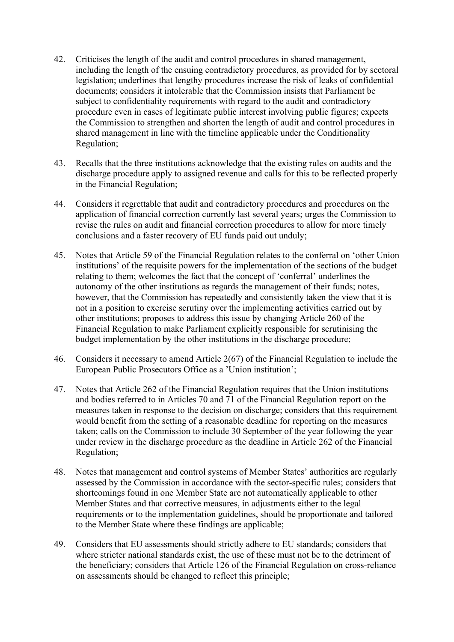- 42. Criticises the length of the audit and control procedures in shared management, including the length of the ensuing contradictory procedures, as provided for by sectoral legislation; underlines that lengthy procedures increase the risk of leaks of confidential documents; considers it intolerable that the Commission insists that Parliament be subject to confidentiality requirements with regard to the audit and contradictory procedure even in cases of legitimate public interest involving public figures; expects the Commission to strengthen and shorten the length of audit and control procedures in shared management in line with the timeline applicable under the Conditionality Regulation;
- 43. Recalls that the three institutions acknowledge that the existing rules on audits and the discharge procedure apply to assigned revenue and calls for this to be reflected properly in the Financial Regulation;
- 44. Considers it regrettable that audit and contradictory procedures and procedures on the application of financial correction currently last several years; urges the Commission to revise the rules on audit and financial correction procedures to allow for more timely conclusions and a faster recovery of EU funds paid out unduly;
- 45. Notes that Article 59 of the Financial Regulation relates to the conferral on 'other Union institutions' of the requisite powers for the implementation of the sections of the budget relating to them; welcomes the fact that the concept of 'conferral' underlines the autonomy of the other institutions as regards the management of their funds; notes, however, that the Commission has repeatedly and consistently taken the view that it is not in a position to exercise scrutiny over the implementing activities carried out by other institutions; proposes to address this issue by changing Article 260 of the Financial Regulation to make Parliament explicitly responsible for scrutinising the budget implementation by the other institutions in the discharge procedure;
- 46. Considers it necessary to amend Article 2(67) of the Financial Regulation to include the European Public Prosecutors Office as a 'Union institution';
- 47. Notes that Article 262 of the Financial Regulation requires that the Union institutions and bodies referred to in Articles 70 and 71 of the Financial Regulation report on the measures taken in response to the decision on discharge; considers that this requirement would benefit from the setting of a reasonable deadline for reporting on the measures taken; calls on the Commission to include 30 September of the year following the year under review in the discharge procedure as the deadline in Article 262 of the Financial Regulation;
- 48. Notes that management and control systems of Member States' authorities are regularly assessed by the Commission in accordance with the sector-specific rules; considers that shortcomings found in one Member State are not automatically applicable to other Member States and that corrective measures, in adjustments either to the legal requirements or to the implementation guidelines, should be proportionate and tailored to the Member State where these findings are applicable;
- 49. Considers that EU assessments should strictly adhere to EU standards; considers that where stricter national standards exist, the use of these must not be to the detriment of the beneficiary; considers that Article 126 of the Financial Regulation on cross-reliance on assessments should be changed to reflect this principle;